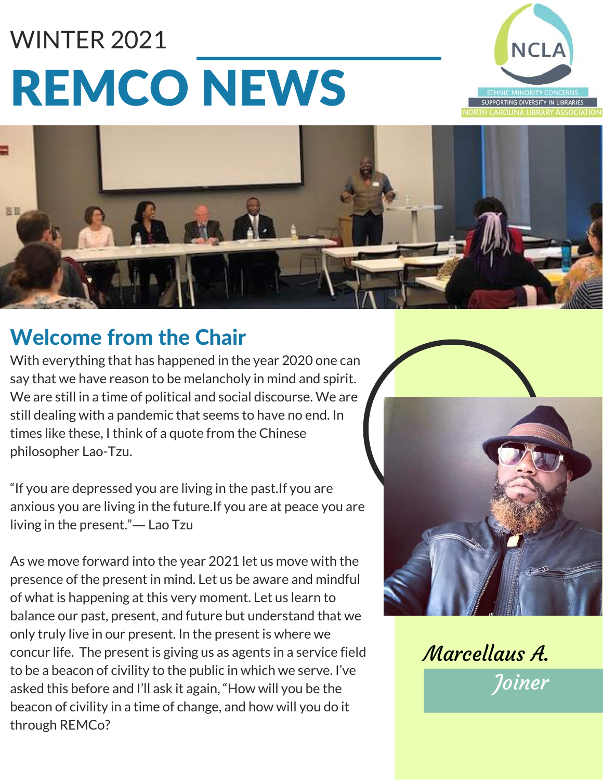# REMCO NEWS WINTER 2021





#### Welcome from the Chair

With everything that has happened in the year 2020 one can say that we have reason to be melancholy in mind and spirit. We are still in a time of political and social discourse. We are still dealing with a pandemic that seems to have no end. In times like these, I think of a quote from the Chinese [philosopher](https://www.youtube.com/channel/UCAbK7V6XDYTguM2L9gWiBMw) Lao-Tzu.

"If you are depressed you are living in the past.If you are anxious you are living in the future.If you are at peace you are living in the present."― Lao Tzu

As we move forward into the year 2021 let us move with the presence of the present in mind. Let us be aware and mindful of what is happening at this very moment. Let us learn to balance our past, present, and future but understand that we only truly live in our present. In the present is where we concur life. The present is giving us as agents in a service field to be a beacon of civility to the public in which we serve. I've asked this before and I'll ask it again, "How will you be the beacon of civility in a time of change, and how will you do it through REMCo?



Marcellaus A.

Joiner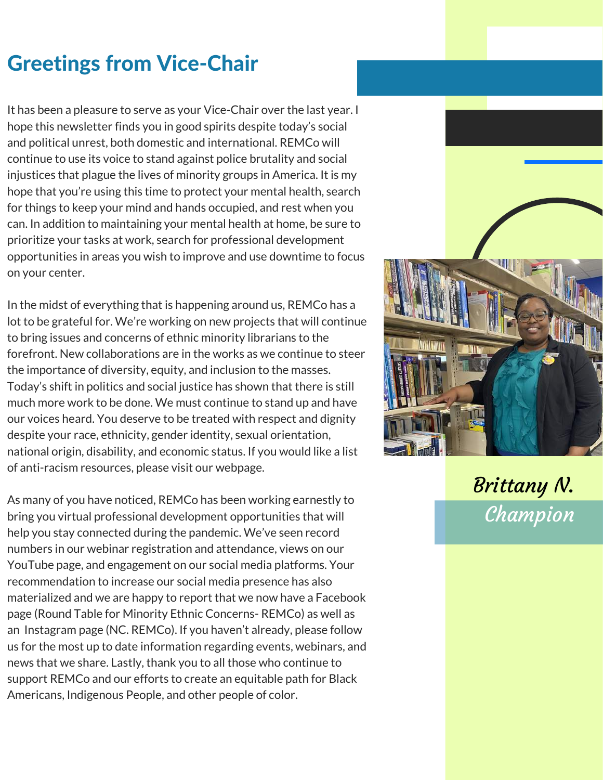#### Greetings from Vice-Chair

It has been a pleasure to serve as your Vice-Chair over the last year. I hope this newsletter finds you in good spirits despite today's social and political unrest, both domestic and international. REMCo will continue to use its voice to stand against police brutality and social injustices that plague the lives of minority groups in America. It is my hope that you're using this time to protect your mental health, search for things to keep your mind and hands occupied, and rest when you can. In addition to maintaining your mental health at home, be sure to prioritize your tasks at work, search for professional development opportunities in areas you wish to improve and use downtime to focus on your center.

In the midst of everything that is happening around us, REMCo has a lot to be grateful for. We're working on new projects that will continue to bring issues and concerns of ethnic minority librarians to the forefront. New collaborations are in the works as we continue to steer the importance of diversity, equity, and inclusion to the masses. Today's shift in politics and social justice has shown that there is still much more work to be done. We must continue to stand up and have our voices heard. You deserve to be treated with respect and dignity despite your race, ethnicity, gender identity, sexual orientation, national origin, disability, and economic status. If you would like a list of anti-racism resources, please visit our webpage.

As many of you have noticed, REMCo has been working earnestly to bring you virtual professional development opportunities that will help you stay connected during the pandemic. We've seen record numbers in our webinar registration and attendance, views on our YouTube page, and engagement on our social media platforms. Your [recommendation](https://www.youtube.com/channel/UCAbK7V6XDYTguM2L9gWiBMw) to increase our social media presence has also materialized and we are happy to report that we now have a Facebook page (Round Table for Minority Ethnic Concerns- REMCo) as well as an Instagram page (NC. REMCo). If you haven't already, please follow us for the most up to date information regarding events, webinars, and news that we share. Lastly, thank you to all those who continue to support REMCo and our efforts to create an equitable path for Black Americans, Indigenous People, and other people of color.



Brittany N. **Champion**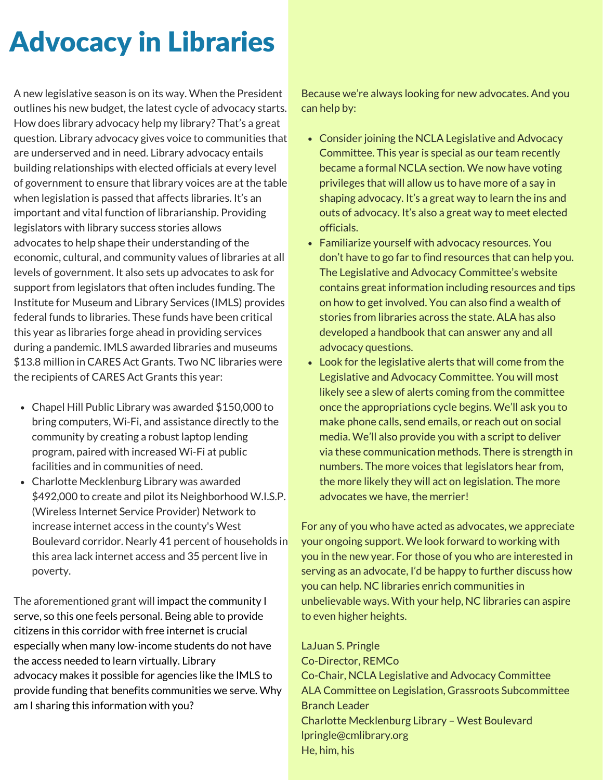# Advocacy in Libraries

A new legislative season is on its way. When the President outlines his new budget, the latest cycle of advocacy starts. How does library advocacy help my library? That's a great question. Library advocacy gives voice to communities that are underserved and in need. Library advocacy entails building relationships with elected officials at every level of government to ensure that library voices are at the table when legislation is passed that affects libraries. It's an important and vital function of librarianship. Providing legislators with library success stories allows advocates to help shape their understanding of the economic, cultural, and community values of libraries at all levels of government. It also sets up advocates to ask for support from legislators that often includes funding. The Institute for Museum and Library Services (IMLS) provides federal funds to libraries. These funds have been critical this year as libraries forge ahead in providing services during a pandemic. IMLS awarded libraries and museums \$13.8 million in CARES Act Grants. Two NC libraries were the recipients of CARES Act Grants this year:

- Chapel Hill Public Library was awarded \$150,000 to bring computers, Wi-Fi, and assistance directly to the community by creating a robust laptop lending program, paired with increased Wi-Fi at public facilities and in communities of need.
- Charlotte Mecklenburg Library was awarded \$492,000 to create and pilot its Neighborhood W.I.S.P. (Wireless Internet Service Provider) Network to increase internet access in the county's West Boulevard corridor. Nearly 41 percent of households in this area lack internet access and 35 percent live in poverty.

The aforementioned grant will impact the community I serve, so this one feels personal. Being able to provide citizens in this corridor with free internet is crucial especially when many low-income students do not have the access needed to learn virtually. Library advocacy makes it possible for agencies like the IMLS to provide funding that benefits communities we serve. Why am I sharing this information with you?

Because we're always looking for new advocates. And you can help by:

- Consider joining the NCLA Legislative and Advocacy Committee. This year is special as our team recently became a formal NCLA section. We now have voting privileges that will allow us to have more of a say in shaping advocacy. It's a great way to learn the ins and outs of advocacy. It's also a great way to meet elected officials.
- Familiarize yourself with advocacy resources. You don't have to go far to find resources that can help you. The Legislative and Advocacy Committee's website contains great information including resources and tips on how to get involved. You can also find a wealth of stories from libraries across the state. ALA has also developed a handbook that can answer any and all advocacy questions.
- Look for the legislative alerts that will come from the Legislative and Advocacy Committee. You will most likely see a slew of alerts coming from the committee once the appropriations cycle begins. We'll ask you to make phone calls, send emails, or reach out on social media. We'll also provide you with a script to deliver via these communication methods. There is strength in numbers. The more voices that legislators hear from, the more likely they will act on legislation. The more advocates we have, the merrier!

For any of you who have acted as advocates, we appreciate your ongoing support. We look forward to working with you in the new year. For those of you who are interested in serving as an advocate, I'd be happy to further discuss how you can help. NC libraries enrich communities in unbelievable ways. With your help, NC libraries can aspire to even higher heights.

LaJuan S. Pringle

Co-Director, REMCo Co-Chair, NCLA Legislative and Advocacy Committee ALA Committee on Legislation, Grassroots Subcommittee Branch Leader Charlotte Mecklenburg Library – West Boulevard lpringle@cmlibrary.org He, him, his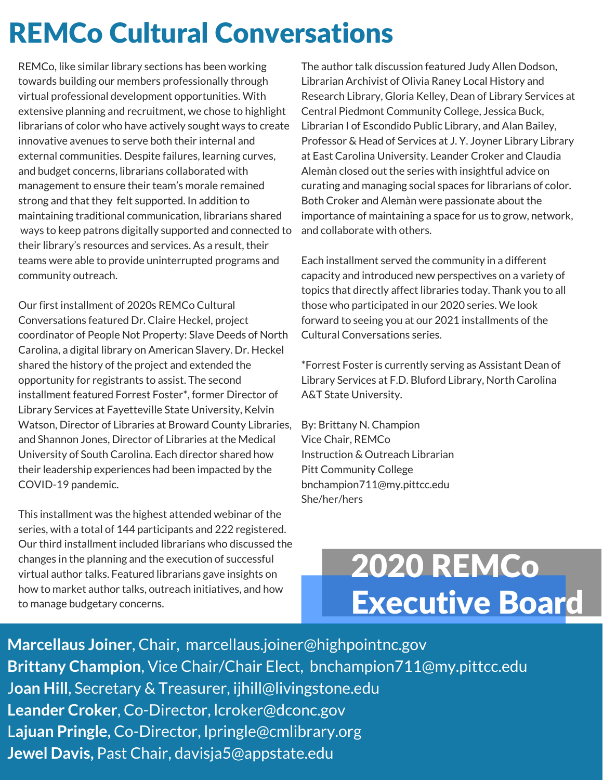### REMCo Cultural Conversations

REMCo, like similar library sections has been working towards building our members professionally through virtual professional development opportunities. With extensive planning and recruitment, we chose to highlight librarians of color who have actively sought ways to create innovative avenues to serve both their internal and external communities. Despite failures, learning curves, and budget concerns, librarians collaborated with management to ensure their team's morale remained strong and that they felt supported. In addition to maintaining traditional communication, librarians shared ways to keep patrons digitally supported and connected to their library's resources and services. As a result, their teams were able to provide uninterrupted programs and community outreach.

Our first installment of 2020s REMCo Cultural Conversations featured Dr. Claire Heckel, project coordinator of People Not Property: Slave Deeds of North Carolina, a digital library on American Slavery. Dr. Heckel shared the history of the project and extended the opportunity for registrants to assist. The second installment featured Forrest Foster\*, former Director of Library Services at Fayetteville State University, Kelvin Watson, Director of Libraries at Broward County Libraries, and Shannon Jones, Director of Libraries at the Medical University of South Carolina. Each director shared how their leadership experiences had been impacted by the COVID-19 pandemic.

This installment was the highest attended webinar of the series, with a total of 144 participants and 222 registered. Our third installment included librarians who discussed the changes in the planning and the execution of successful virtual author talks. Featured librarians gave insights on how to market author talks, outreach initiatives, and how to manage budgetary concerns.

The author talk discussion featured Judy Allen Dodson, Librarian Archivist of Olivia Raney Local History and Research Library, Gloria Kelley, Dean of Library Services at Central Piedmont Community College, Jessica Buck, Librarian I of Escondido Public Library, and Alan Bailey, Professor & Head of Services at J. Y. Joyner Library Library at East Carolina University. Leander Croker and Claudia Alemàn closed out the series with insightful advice on curating and managing social spaces for librarians of color. Both Croker and Alemàn were passionate about the importance of maintaining a space for us to grow, network, and collaborate with others.

Each installment served the community in a different capacity and introduced new perspectives on a variety of topics that directly affect libraries today. Thank you to all those who participated in our 2020 series. We look forward to seeing you at our 2021 installments of the Cultural Conversations series.

\*Forrest Foster is currently serving as Assistant Dean of Library Services at F.D. Bluford Library, North Carolina A&T State University.

By: Brittany N. Champion Vice Chair, REMCo Instruction & Outreach Librarian Pitt Community College bnchampion711@my.pittcc.edu She/her/hers

# 2020 REMCo Executive Board

**Marcellaus Joiner**, Chair, marcellaus.joiner@highpointnc.gov **Brittany Champion**, Vice Chair/Chair Elect, bnchampion711@my.pittcc.edu J**oan Hill**, Secretary & Treasurer, ijhill@livingstone.edu **Leander Croker**, Co-Director, lcroker@dconc.gov L**ajuan Pringle,** Co-Director, lpringle@cmlibrary.org **Jewel Davis,** Past Chair, davisja5@appstate.edu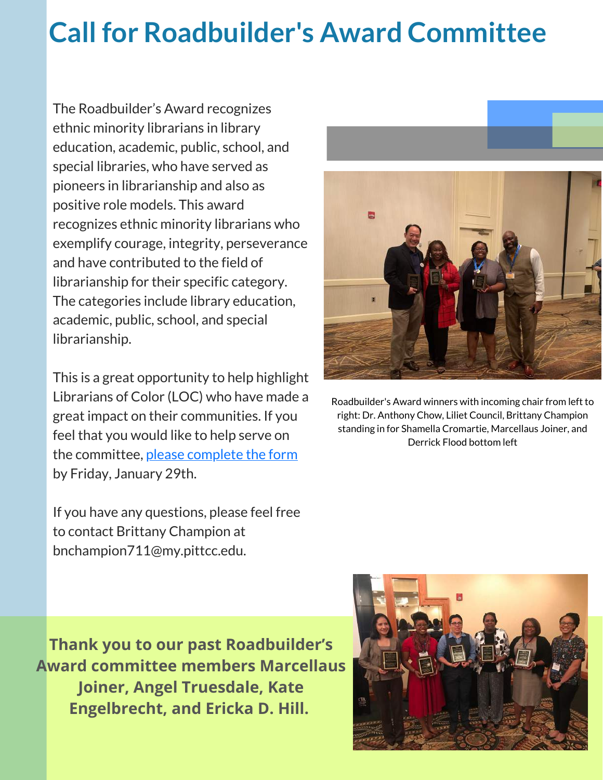## **Call for Roadbuilder's Award Committee**

The Roadbuilder's Award recognizes ethnic minority librarians in library education, academic, public, school, and special libraries, who have served as pioneers in librarianship and also as positive role models. This award recognizes ethnic minority librarians who exemplify courage, integrity, perseverance and have contributed to the field of librarianship for their specific category. The categories include library education, academic, public, school, and special librarianship.

This is a great opportunity to help highlight Librarians of Color (LOC) who have made a great impact on their communities. If you feel that you would like to help serve on the committee, please [complete](https://forms.gle/Mc7beHKrABvHVqfH9) the form by Friday, January 29th.

If you have any questions, please feel free to contact Brittany Champion at bnchampion711@my.pittcc.edu.



Roadbuilder's Award winners with incoming chair from left to right: Dr. Anthony Chow, Liliet Council, Brittany Champion standing in for Shamella Cromartie, Marcellaus Joiner, and Derrick Flood bottom left

**Thank you to our past Roadbuilder's Award committee members Marcellaus Joiner, Angel Truesdale, Kate Engelbrecht, and Ericka D. Hill.**

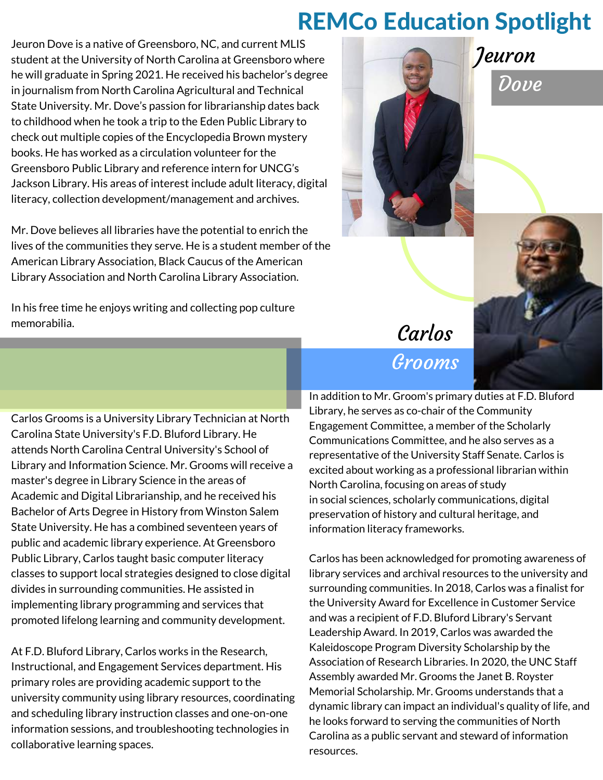#### REMCo Education Spotlight

Jeuron Dove is a native of Greensboro, NC, and current MLIS student at the University of North Carolina at Greensboro where he will graduate in Spring 2021. He received his bachelor's degree in journalism from North Carolina Agricultural and Technical State University. Mr. Dove's passion for librarianship dates back to childhood when he took a trip to the Eden Public Library to check out multiple copies of the Encyclopedia Brown mystery books. He has worked as a circulation volunteer for the Greensboro Public Library and reference intern for UNCG's Jackson Library. His areas of interest include adult literacy, digital literacy, collection development/management and archives.

Mr. Dove believes all libraries have the potential to enrich the lives of the communities they serve. He is a student member of the American Library Association, Black Caucus of the American Library Association and North Carolina Library Association.

In his free time he enjoys writing and collecting pop culture memorabilia.





**Dove** 

#### Carlos Grooms

Carlos Grooms is a University Library Technician at North Carolina State University's F.D. Bluford Library. He attends North Carolina Central University's School of Library and Information Science. Mr. Grooms will receive a master's degree in Library Science in the areas of Academic and Digital Librarianship, and he received his Bachelor of Arts Degree in History from Winston Salem State University. He has a combined seventeen years of public and academic library experience. At Greensboro Public Library, Carlos taught basic computer literacy classes to support local strategies designed to close digital divides in surrounding communities. He assisted in implementing library programming and services that promoted lifelong learning and community development.

At F.D. Bluford Library, Carlos works in the Research, Instructional, and Engagement Services department. His primary roles are providing academic support to the university community using library resources, coordinating and scheduling library instruction classes and one-on-one information sessions, and troubleshooting technologies in collaborative learning spaces.

In addition to Mr. Groom's primary duties at F.D. Bluford Library, he serves as co-chair of the Community Engagement Committee, a member of the Scholarly Communications Committee, and he also serves as a representative of the University Staff Senate. Carlos is excited about working as a professional librarian within North Carolina, focusing on areas of study in social sciences, scholarly communications, digital preservation of history and cultural heritage, and information literacy frameworks.

Carlos has been acknowledged for promoting awareness of library services and archival resources to the university and surrounding communities. In 2018, Carlos was a finalist for the University Award for Excellence in Customer Service and was a recipient of F.D. Bluford Library's Servant Leadership Award. In 2019, Carlos was awarded the Kaleidoscope Program Diversity Scholarship by the Association of Research Libraries. In 2020, the UNC Staff Assembly awarded Mr. Grooms the Janet B. Royster Memorial Scholarship. Mr. Grooms understands that a dynamic library can impact an individual's quality of life, and he looks forward to serving the communities of North Carolina as a public servant and steward of information resources.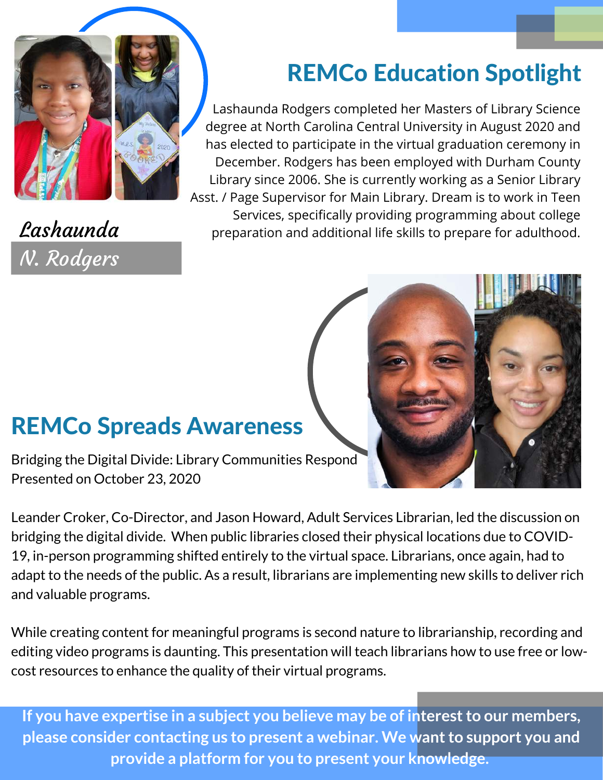

N. Rodgers

### REMCo Education Spotlight

Lashaunda Rodgers completed her Masters of Library Science degree at North Carolina Central University in August 2020 and has elected to participate in the virtual graduation ceremony in December. Rodgers has been employed with Durham County Library since 2006. She is currently working as a Senior Library Asst. / Page Supervisor for Main Library. Dream is to work in Teen Services, specifically providing programming about college  $\textit{Lashaunda}$  preparation and additional life skills to prepare for adulthood.

#### REMCo Spreads Awareness

Bridging the Digital Divide: Library Communities Respond Presented on October 23, 2020

Leander Croker, Co-Director, and Jason Howard, Adult Services Librarian, led the discussion on bridging the digital divide. When public libraries closed their physical locations due to COVID-19, in-person programming shifted entirely to the virtual space. Librarians, once again, had to adapt to the needs of the public. As a result, librarians are implementing new skills to deliver rich and valuable programs.

While creating content for meaningful programs is second nature to librarianship, recording and editing video programs is daunting. This presentation will teach librarians how to use free or lowcost resources to enhance the quality of their virtual programs.

**If you have expertise in a subject you believe may be of interestto our members, please consider contacting us to present a webinar. We wantto support you and provide a platform for you to present your knowledge.**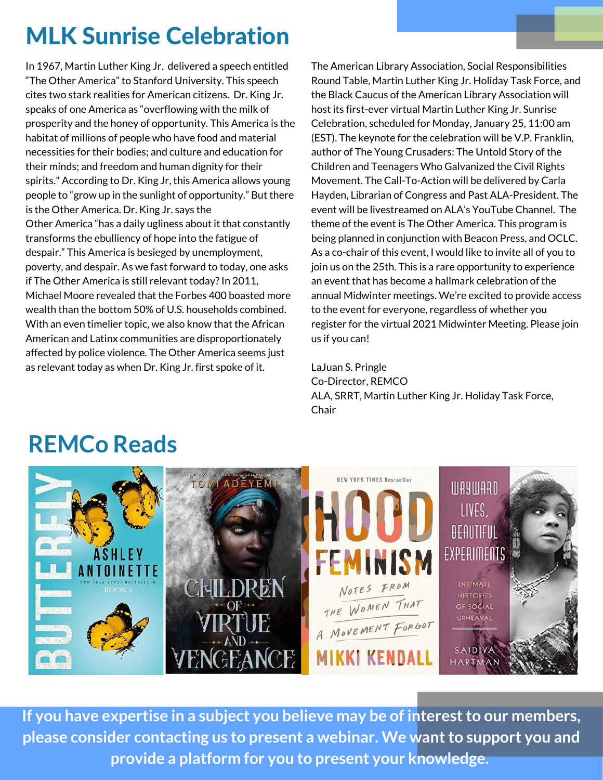### MLK Sunrise Celebration

In 1967, Martin Luther King Jr. delivered a speech entitled "The Other America" to Stanford University. This speech cites two stark realities for American citizens. Dr. King Jr. speaks of one America as "overflowing with the milk of prosperity and the honey of opportunity. This America is the habitat of millions of people who have food and material necessities for their bodies; and culture and education for their minds; and freedom and human dignity for their spirits." According to Dr. King Jr, this America allows young people to "grow up in the sunlight of opportunity." But there is the Other America. Dr. King Jr. says the Other America "has a daily ugliness about it that constantly transforms the ebulliency of hope into the fatigue of despair." This America is besieged by unemployment, poverty, and despair. As we fast forward to today, one asks if The Other America is still relevant today? In 2011, Michael Moore revealed that the Forbes 400 boasted more wealth than the bottom 50% of U.S. households combined. With an even timelier topic, we also know that the African American and Latinx communities are disproportionately affected by police violence. The Other America seems just as relevant today as when Dr. King Jr. first spoke of it.

The American Library Association, Social Responsibilities Round Table, Martin Luther King Jr. Holiday Task Force, and the Black Caucus of the American Library Association will host its first-ever virtual Martin Luther King Jr. Sunrise Celebration, scheduled for Monday, January 25, 11:00 am (EST). The keynote for the celebration will be V.P. Franklin, author of The Young Crusaders: The Untold Story of the Children and Teenagers Who Galvanized the Civil Rights Movement. The Call-To-Action will be delivered by Carla Hayden, Librarian of Congress and Past ALA-President. The event will be livestreamed on ALA's YouTube Channel. The theme of the event is The Other America. This program is being planned in conjunction with Beacon Press, and OCLC. As a co-chair of this event, I would like to invite all of you to join us on the 25th. This is a rare opportunity to experience an event that has become a hallmark celebration of the annual Midwinter meetings. We're excited to provide access to the event for everyone, regardless of whether you register for the virtual 2021 Midwinter Meeting. Please join us if you can!

LaJuan S. Pringle Co-Director, REMCO ALA, SRRT, Martin Luther King Jr. Holiday Task Force, Chair

#### **REMCo Reads**



**If you have expertise in a subject you believe may be of interestto our members, please consider contacting us to present a webinar. We wantto support you and provide a platform for you to present your knowledge.**